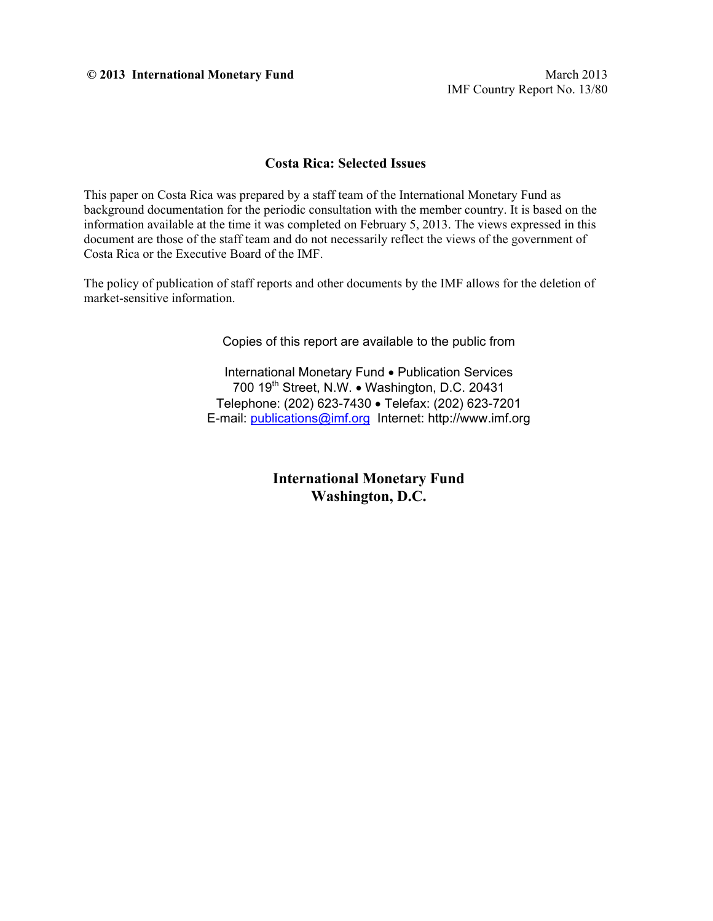**© 2013 International Monetary Fund** March 2013

IMF Country Report No. 13/80

#### **Costa Rica: Selected Issues**

This paper on Costa Rica was prepared by a staff team of the International Monetary Fund as background documentation for the periodic consultation with the member country. It is based on the information available at the time it was completed on February 5, 2013. The views expressed in this document are those of the staff team and do not necessarily reflect the views of the government of Costa Rica or the Executive Board of the IMF.

The policy of publication of staff reports and other documents by the IMF allows for the deletion of market-sensitive information.

Copies of this report are available to the public from

International Monetary Fund • Publication Services 700 19<sup>th</sup> Street, N.W. . Washington, D.C. 20431 Telephone: (202) 623-7430 Telefax: (202) 623-7201 E-mail: publications@imf.org Internet: http://www.imf.org

> **International Monetary Fund Washington, D.C.**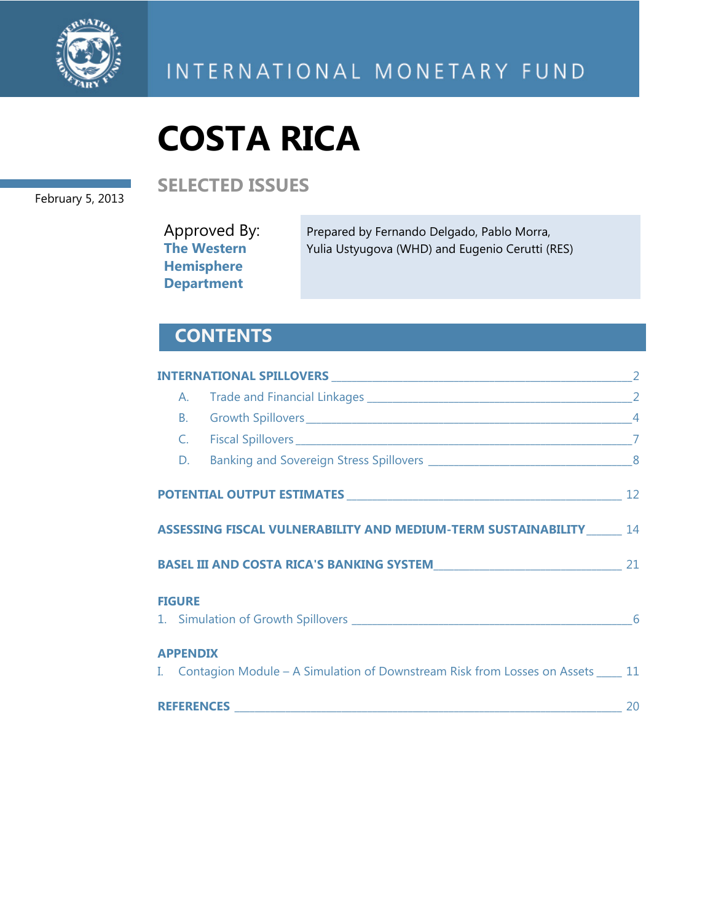

#### February 5, 2013

**SELECTED ISSUES** 

Approved By: **The Western Hemisphere Department** Prepared by Fernando Delgado, Pablo Morra, Yulia Ustyugova (WHD) and Eugenio Cerutti (RES)

# **CONTENTS**

|                 | ASSESSING FISCAL VULNERABILITY AND MEDIUM-TERM SUSTAINABILITY ______ 14              |    |
|-----------------|--------------------------------------------------------------------------------------|----|
|                 |                                                                                      | 21 |
| <b>FIGURE</b>   |                                                                                      |    |
| <b>APPENDIX</b> | I. Contagion Module – A Simulation of Downstream Risk from Losses on Assets _____ 11 |    |
|                 |                                                                                      | 20 |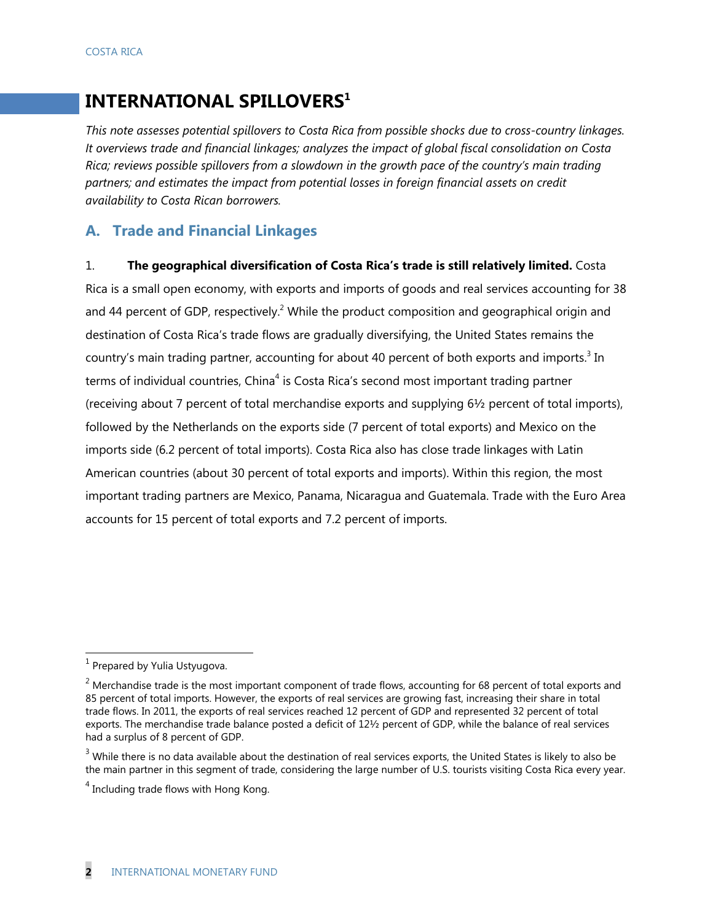# **INTERNATIONAL SPILLOVERS1**

*This note assesses potential spillovers to Costa Rica from possible shocks due to cross-country linkages. It overviews trade and financial linkages; analyzes the impact of global fiscal consolidation on Costa Rica; reviews possible spillovers from a slowdown in the growth pace of the country's main trading partners; and estimates the impact from potential losses in foreign financial assets on credit availability to Costa Rican borrowers.*

#### **A. Trade and Financial Linkages**

1. **The geographical diversification of Costa Rica's trade is still relatively limited.** Costa

Rica is a small open economy, with exports and imports of goods and real services accounting for 38 and 44 percent of GDP, respectively.<sup>2</sup> While the product composition and geographical origin and destination of Costa Rica's trade flows are gradually diversifying, the United States remains the country's main trading partner, accounting for about 40 percent of both exports and imports.<sup>3</sup> In terms of individual countries, China<sup>4</sup> is Costa Rica's second most important trading partner (receiving about 7 percent of total merchandise exports and supplying 6½ percent of total imports), followed by the Netherlands on the exports side (7 percent of total exports) and Mexico on the imports side (6.2 percent of total imports). Costa Rica also has close trade linkages with Latin American countries (about 30 percent of total exports and imports). Within this region, the most important trading partners are Mexico, Panama, Nicaragua and Guatemala. Trade with the Euro Area accounts for 15 percent of total exports and 7.2 percent of imports.

 $<sup>1</sup>$  Prepared by Yulia Ustyugova.</sup>

 $2$  Merchandise trade is the most important component of trade flows, accounting for 68 percent of total exports and 85 percent of total imports. However, the exports of real services are growing fast, increasing their share in total trade flows. In 2011, the exports of real services reached 12 percent of GDP and represented 32 percent of total exports. The merchandise trade balance posted a deficit of 12½ percent of GDP, while the balance of real services had a surplus of 8 percent of GDP.

 $3$  While there is no data available about the destination of real services exports, the United States is likely to also be the main partner in this segment of trade, considering the large number of U.S. tourists visiting Costa Rica every year.

<sup>&</sup>lt;sup>4</sup> Including trade flows with Hong Kong.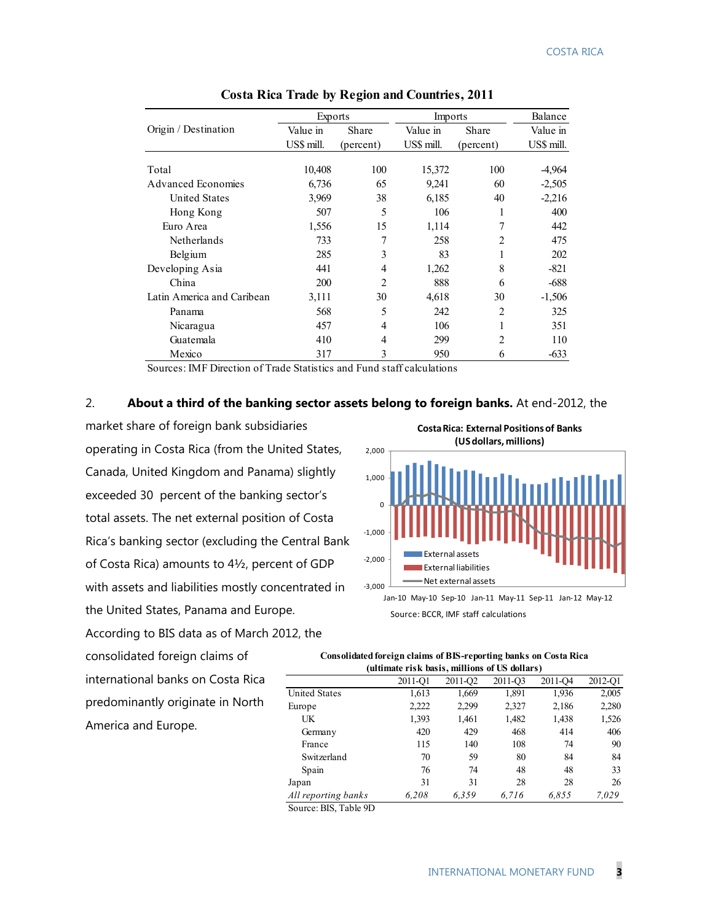|                            | Exports    |                | Imports    | Balance        |            |
|----------------------------|------------|----------------|------------|----------------|------------|
| Origin / Destination       | Value in   | Share          | Value in   | Share          | Value in   |
|                            | US\$ mill. | (percent)      | US\$ mill. | (percent)      | US\$ mill. |
| Total                      | 10,408     | 100            | 15,372     | 100            | -4,964     |
| <b>Advanced Economies</b>  | 6,736      | 65             | 9,241      | 60             | $-2,505$   |
|                            |            |                |            |                |            |
| <b>United States</b>       | 3,969      | 38             | 6,185      | 40             | $-2,216$   |
| Hong Kong                  | 507        | 5              | 106        | 1              | 400        |
| Euro Area                  | 1,556      | 15             | 1,114      | 7              | 442        |
| <b>Netherlands</b>         | 733        | 7              | 258        | $\overline{c}$ | 475        |
| Belgium                    | 285        | 3              | 83         |                | 202        |
| Developing Asia            | 441        | 4              | 1,262      | 8              | $-821$     |
| China                      | 200        | $\overline{2}$ | 888        | 6              | -688       |
| Latin America and Caribean | 3,111      | 30             | 4,618      | 30             | $-1,506$   |
| Panama                     | 568        | 5              | 242        | $\mathfrak{D}$ | 325        |
| Nicaragua                  | 457        | 4              | 106        |                | 351        |
| Guatemala                  | 410        | 4              | 299        | $\overline{2}$ | 110        |
| Mexico                     | 317        | 3              | 950        | 6              | $-633$     |

**Costa Rica Trade by Region and Countries, 2011**

Sources: IMF Direction of Trade Statistics and Fund staff calculations

#### 2. **About a third of the banking sector assets belong to foreign banks.** At end-2012, the

market share of foreign bank subsidiaries operating in Costa Rica (from the United States, Canada, United Kingdom and Panama) slightly exceeded 30 percent of the banking sector's total assets. The net external position of Costa Rica's banking sector (excluding the Central Bank of Costa Rica) amounts to 4½, percent of GDP with assets and liabilities mostly concentrated in the United States, Panama and Europe. According to BIS data as of March 2012, the

‐3,000 -2,000 -1,000  $\Omega$ 1,000 2,000 Jan-10 May-10 Sep-10 Jan-11 May-11 Sep-11 Jan-12 May-12 **(US dollars, millions)** External assets External liabilities Net external assets

**Costa Rica: External Positions of Banks** 

Source: BCCR, IMF staff calculations

consolidated foreign claims of international banks on Costa Rica predominantly originate in North America and Europe.

**Consolidated foreign claims of BIS-reporting banks on Costa Rica (ultimate risk basis, millions of US dollars)**

|                      | (ultimate lisk dasis, millions of US domals) |         |         |         |         |  |  |  |  |  |  |
|----------------------|----------------------------------------------|---------|---------|---------|---------|--|--|--|--|--|--|
|                      | 2011-O1                                      | 2011-Q2 | 2011-O3 | 2011-Q4 | 2012-O1 |  |  |  |  |  |  |
| <b>United States</b> | 1,613                                        | 1,669   | 1,891   | 1,936   | 2,005   |  |  |  |  |  |  |
| Europe               | 2,222                                        | 2,299   | 2,327   | 2,186   | 2,280   |  |  |  |  |  |  |
| UK                   | 1,393                                        | 1,461   | 1,482   | 1,438   | 1,526   |  |  |  |  |  |  |
| Germany              | 420                                          | 429     | 468     | 414     | 406     |  |  |  |  |  |  |
| France               | 115                                          | 140     | 108     | 74      | 90      |  |  |  |  |  |  |
| Switzerland          | 70                                           | 59      | 80      | 84      | 84      |  |  |  |  |  |  |
| Spain                | 76                                           | 74      | 48      | 48      | 33      |  |  |  |  |  |  |
| Japan                | 31                                           | 31      | 28      | 28      | 26      |  |  |  |  |  |  |
| All reporting banks  | 6.208                                        | 6.359   | 6.716   | 6,855   | 7,029   |  |  |  |  |  |  |

Source: BIS, Table 9D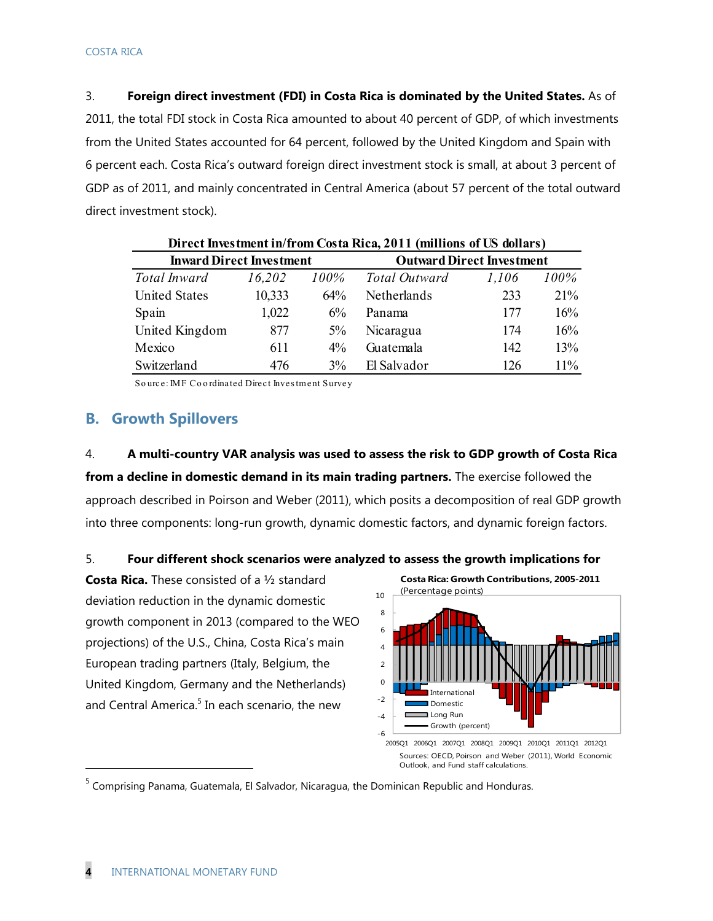3. **Foreign direct investment (FDI) in Costa Rica is dominated by the United States.** As of 2011, the total FDI stock in Costa Rica amounted to about 40 percent of GDP, of which investments from the United States accounted for 64 percent, followed by the United Kingdom and Spain with 6 percent each. Costa Rica's outward foreign direct investment stock is small, at about 3 percent of GDP as of 2011, and mainly concentrated in Central America (about 57 percent of the total outward direct investment stock).

| Direct Investment in/from Costa Rica, 2011 (millions of US dollars) |        |       |                                  |       |      |  |  |  |  |  |
|---------------------------------------------------------------------|--------|-------|----------------------------------|-------|------|--|--|--|--|--|
| <b>Inward Direct Investment</b>                                     |        |       | <b>Outward Direct Investment</b> |       |      |  |  |  |  |  |
| Total Inward                                                        | 16,202 | 100%  | Total Outward                    | 1,106 | 100% |  |  |  |  |  |
| <b>United States</b>                                                | 10,333 | 64%   | Netherlands                      | 233   | 21%  |  |  |  |  |  |
| Spain                                                               | 1,022  | $6\%$ | Panama                           | 177   | 16%  |  |  |  |  |  |
| United Kingdom                                                      | 877    | 5%    | Nicaragua                        | 174   | 16%  |  |  |  |  |  |
| Mexico                                                              | 611    | $4\%$ | Guatemala                        | 142   | 13%  |  |  |  |  |  |
| Switzerland                                                         | 476    | $3\%$ | El Salvador                      | 126   | 11%  |  |  |  |  |  |

So urce: IMF Co o rdinated Direct Inves tment Survey

#### **B. Growth Spillovers**

4. **A multi-country VAR analysis was used to assess the risk to GDP growth of Costa Rica** 

**from a decline in domestic demand in its main trading partners.** The exercise followed the approach described in Poirson and Weber (2011), which posits a decomposition of real GDP growth into three components: long-run growth, dynamic domestic factors, and dynamic foreign factors.

#### 5. **Four different shock scenarios were analyzed to assess the growth implications for**

**Costa Rica.** These consisted of a ½ standard deviation reduction in the dynamic domestic growth component in 2013 (compared to the WEO projections) of the U.S., China, Costa Rica's main European trading partners (Italy, Belgium, the United Kingdom, Germany and the Netherlands) and Central America.<sup>5</sup> In each scenario, the new



Sources: OECD, Poirson and Weber (2011), World Economic Outlook, and Fund staff calculations.

<sup>5</sup> Comprising Panama, Guatemala, El Salvador, Nicaragua, the Dominican Republic and Honduras.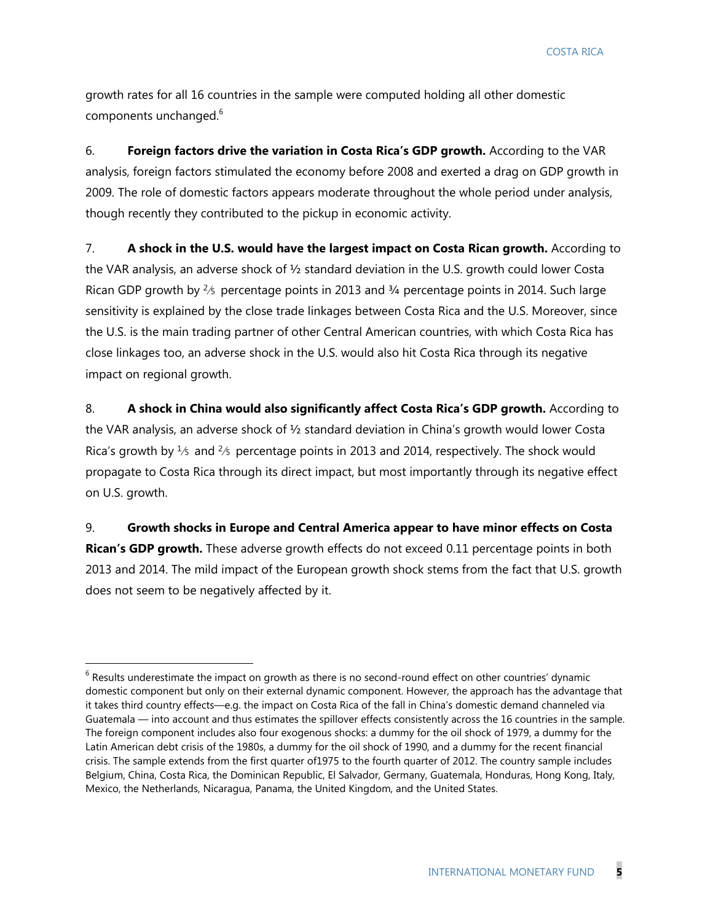growth rates for all 16 countries in the sample were computed holding all other domestic components unchanged.<sup>6</sup>

6. **Foreign factors drive the variation in Costa Rica's GDP growth.** According to the VAR analysis, foreign factors stimulated the economy before 2008 and exerted a drag on GDP growth in 2009. The role of domestic factors appears moderate throughout the whole period under analysis, though recently they contributed to the pickup in economic activity.

7. **A shock in the U.S. would have the largest impact on Costa Rican growth.** According to the VAR analysis, an adverse shock of ½ standard deviation in the U.S. growth could lower Costa Rican GDP growth by  $\frac{2}{5}$  percentage points in 2013 and  $\frac{3}{4}$  percentage points in 2014. Such large sensitivity is explained by the close trade linkages between Costa Rica and the U.S. Moreover, since the U.S. is the main trading partner of other Central American countries, with which Costa Rica has close linkages too, an adverse shock in the U.S. would also hit Costa Rica through its negative impact on regional growth.

8. **A shock in China would also significantly affect Costa Rica's GDP growth.** According to the VAR analysis, an adverse shock of ½ standard deviation in China's growth would lower Costa Rica's growth by  $\frac{1}{5}$  and  $\frac{2}{5}$  percentage points in 2013 and 2014, respectively. The shock would propagate to Costa Rica through its direct impact, but most importantly through its negative effect on U.S. growth.

9. **Growth shocks in Europe and Central America appear to have minor effects on Costa Rican's GDP growth.** These adverse growth effects do not exceed 0.11 percentage points in both 2013 and 2014. The mild impact of the European growth shock stems from the fact that U.S. growth does not seem to be negatively affected by it.

 $<sup>6</sup>$  Results underestimate the impact on growth as there is no second-round effect on other countries' dynamic</sup> domestic component but only on their external dynamic component. However, the approach has the advantage that it takes third country effects—e.g. the impact on Costa Rica of the fall in China's domestic demand channeled via Guatemala — into account and thus estimates the spillover effects consistently across the 16 countries in the sample. The foreign component includes also four exogenous shocks: a dummy for the oil shock of 1979, a dummy for the Latin American debt crisis of the 1980s, a dummy for the oil shock of 1990, and a dummy for the recent financial crisis. The sample extends from the first quarter of1975 to the fourth quarter of 2012. The country sample includes Belgium, China, Costa Rica, the Dominican Republic, El Salvador, Germany, Guatemala, Honduras, Hong Kong, Italy, Mexico, the Netherlands, Nicaragua, Panama, the United Kingdom, and the United States.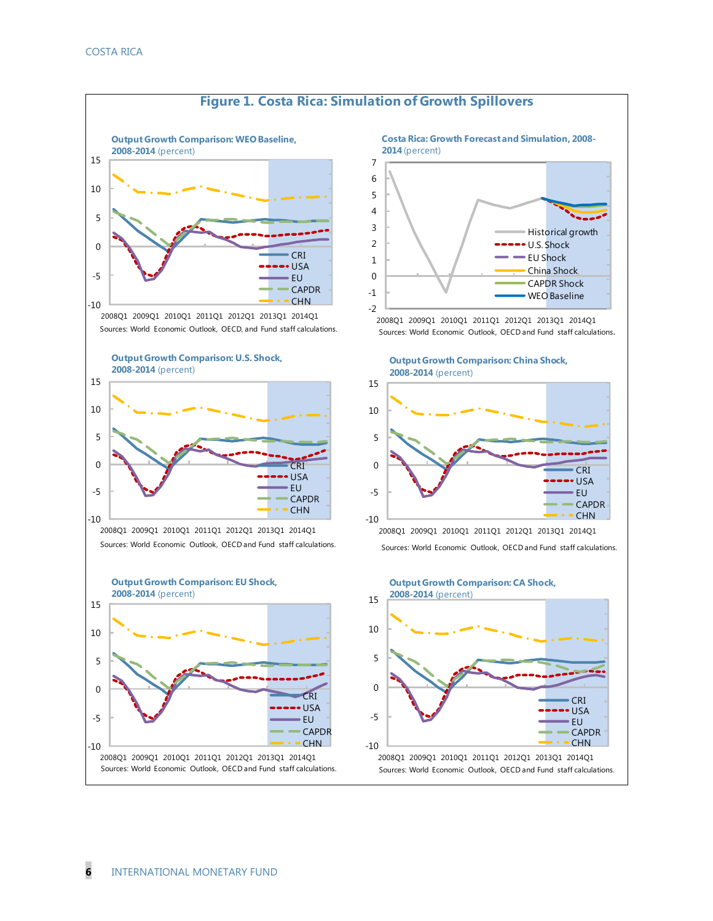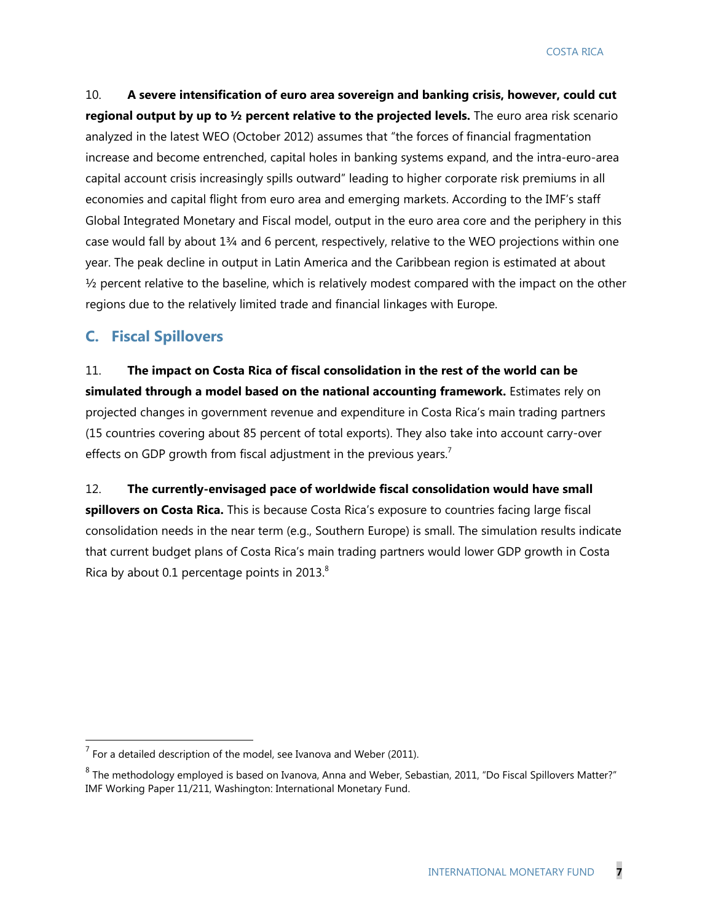10. **A severe intensification of euro area sovereign and banking crisis, however, could cut regional output by up to ½ percent relative to the projected levels.** The euro area risk scenario analyzed in the latest WEO (October 2012) assumes that "the forces of financial fragmentation increase and become entrenched, capital holes in banking systems expand, and the intra-euro-area capital account crisis increasingly spills outward" leading to higher corporate risk premiums in all economies and capital flight from euro area and emerging markets. According to the IMF's staff Global Integrated Monetary and Fiscal model, output in the euro area core and the periphery in this case would fall by about  $1\frac{3}{4}$  and 6 percent, respectively, relative to the WEO projections within one year. The peak decline in output in Latin America and the Caribbean region is estimated at about  $\frac{1}{2}$  percent relative to the baseline, which is relatively modest compared with the impact on the other regions due to the relatively limited trade and financial linkages with Europe.

#### **C. Fiscal Spillovers**

-

11. **The impact on Costa Rica of fiscal consolidation in the rest of the world can be simulated through a model based on the national accounting framework.** Estimates rely on projected changes in government revenue and expenditure in Costa Rica's main trading partners (15 countries covering about 85 percent of total exports). They also take into account carry-over effects on GDP growth from fiscal adjustment in the previous years.<sup>7</sup>

12. **The currently-envisaged pace of worldwide fiscal consolidation would have small spillovers on Costa Rica.** This is because Costa Rica's exposure to countries facing large fiscal consolidation needs in the near term (e.g., Southern Europe) is small. The simulation results indicate that current budget plans of Costa Rica's main trading partners would lower GDP growth in Costa Rica by about 0.1 percentage points in 2013. $8$ 

 $<sup>7</sup>$  For a detailed description of the model, see Ivanova and Weber (2011).</sup>

 $^8$  The methodology employed is based on Ivanova, Anna and Weber, Sebastian, 2011, "Do Fiscal Spillovers Matter?" IMF Working Paper 11/211, Washington: International Monetary Fund.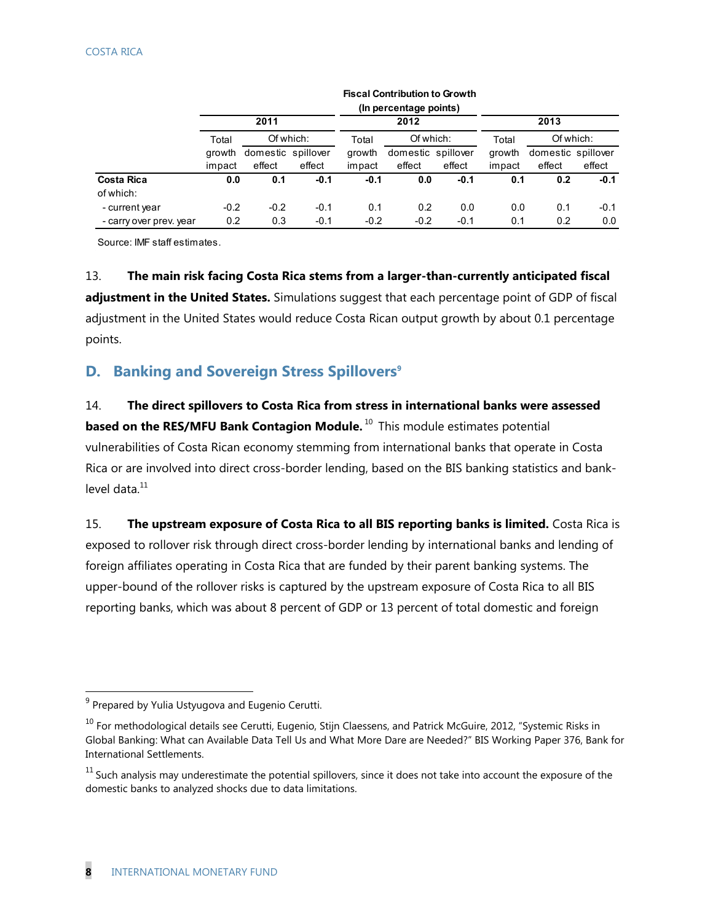|                         |        |                    |        |        | (In percentage points) |        |        |                    |           |  |
|-------------------------|--------|--------------------|--------|--------|------------------------|--------|--------|--------------------|-----------|--|
|                         |        | 2011               |        |        | 2012                   |        | 2013   |                    |           |  |
|                         | Total  | Of which:          |        | Total  | Of which:              |        | Total  |                    | Of which: |  |
|                         | growth | domestic spillover |        | growth | domestic spillover     |        | growth | domestic spillover |           |  |
|                         | impact | effect             | effect | impact | effect                 | effect | impact | effect             | effect    |  |
| <b>Costa Rica</b>       | 0.0    | 0.1                | $-0.1$ | $-0.1$ | 0.0                    | $-0.1$ | 0.1    | 0.2                | $-0.1$    |  |
| of which:               |        |                    |        |        |                        |        |        |                    |           |  |
| - current year          | $-0.2$ | $-0.2$             | $-0.1$ | 0.1    | 0.2                    | 0.0    | 0.0    | 0.1                | $-0.1$    |  |
| - carry over prev. year | 0.2    | 0.3                | $-0.1$ | $-0.2$ | $-0.2$                 | $-0.1$ | 0.1    | 0.2                | 0.0       |  |

**Fiscal Contribution to Growth**

Source: IMF staff estimates.

13. **The main risk facing Costa Rica stems from a larger-than-currently anticipated fiscal adjustment in the United States.** Simulations suggest that each percentage point of GDP of fiscal adjustment in the United States would reduce Costa Rican output growth by about 0.1 percentage points.

### **D. Banking and Sovereign Stress Spillovers<sup>9</sup>**

14. **The direct spillovers to Costa Rica from stress in international banks were assessed based on the RES/MFU Bank Contagion Module.** <sup>10</sup> This module estimates potential vulnerabilities of Costa Rican economy stemming from international banks that operate in Costa Rica or are involved into direct cross-border lending, based on the BIS banking statistics and banklevel data $11$ 

15. **The upstream exposure of Costa Rica to all BIS reporting banks is limited.** Costa Rica is exposed to rollover risk through direct cross-border lending by international banks and lending of foreign affiliates operating in Costa Rica that are funded by their parent banking systems. The upper-bound of the rollover risks is captured by the upstream exposure of Costa Rica to all BIS reporting banks, which was about 8 percent of GDP or 13 percent of total domestic and foreign

 $9$  Prepared by Yulia Ustyugova and Eugenio Cerutti.

<sup>&</sup>lt;sup>10</sup> For methodological details see Cerutti, Eugenio, Stijn Claessens, and Patrick McGuire, 2012, "Systemic Risks in Global Banking: What can Available Data Tell Us and What More Dare are Needed?" BIS Working Paper 376, Bank for International Settlements.

 $11$  Such analysis may underestimate the potential spillovers, since it does not take into account the exposure of the domestic banks to analyzed shocks due to data limitations.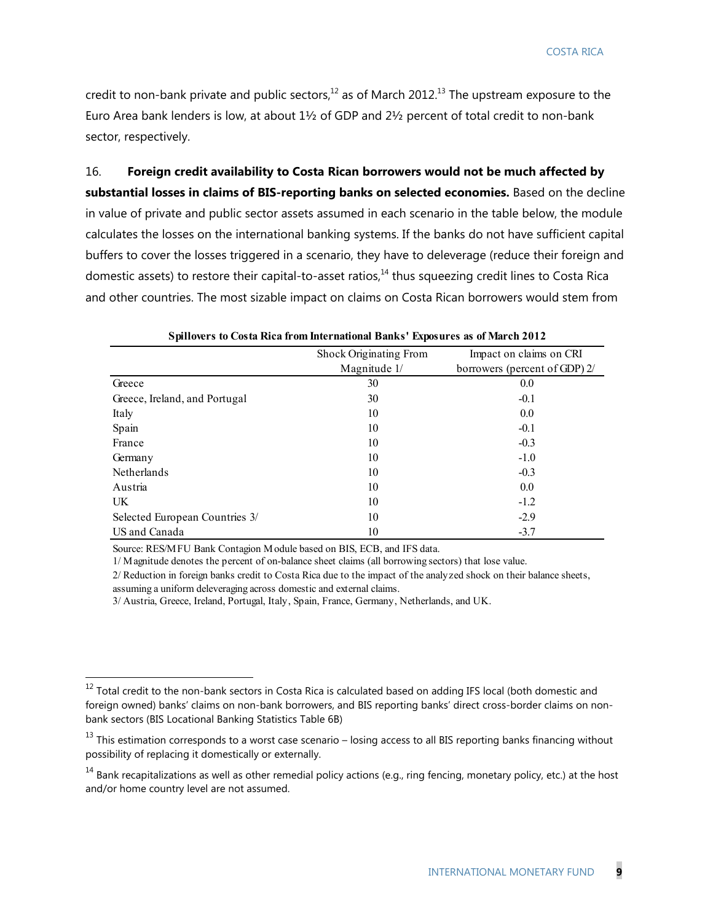credit to non-bank private and public sectors, $12$  as of March 2012.<sup>13</sup> The upstream exposure to the Euro Area bank lenders is low, at about 1½ of GDP and 2½ percent of total credit to non-bank sector, respectively.

## 16. **Foreign credit availability to Costa Rican borrowers would not be much affected by substantial losses in claims of BIS-reporting banks on selected economies.** Based on the decline in value of private and public sector assets assumed in each scenario in the table below, the module calculates the losses on the international banking systems. If the banks do not have sufficient capital buffers to cover the losses triggered in a scenario, they have to deleverage (reduce their foreign and domestic assets) to restore their capital-to-asset ratios, $^{14}$  thus squeezing credit lines to Costa Rica and other countries. The most sizable impact on claims on Costa Rican borrowers would stem from

|                                | Shock Originating From | Impact on claims on CRI       |  |  |  |
|--------------------------------|------------------------|-------------------------------|--|--|--|
|                                | Magnitude 1/           | borrowers (percent of GDP) 2/ |  |  |  |
| Greece                         | 30                     | 0.0                           |  |  |  |
| Greece, Ireland, and Portugal  | 30                     | $-0.1$                        |  |  |  |
| Italy                          | 10                     | 0.0                           |  |  |  |
| Spain                          | 10                     | $-0.1$                        |  |  |  |
| France                         | 10                     | $-0.3$                        |  |  |  |
| Germany                        | 10                     | $-1.0$                        |  |  |  |
| Netherlands                    | 10                     | $-0.3$                        |  |  |  |
| Austria                        | 10                     | 0.0                           |  |  |  |
| UK.                            | 10                     | $-1.2$                        |  |  |  |
| Selected European Countries 3/ | 10                     | $-2.9$                        |  |  |  |
| US and Canada                  | 10                     | $-3.7$                        |  |  |  |

| Spillovers to Costa Rica from International Banks' Exposures as of March 2012 |  |  |
|-------------------------------------------------------------------------------|--|--|
|-------------------------------------------------------------------------------|--|--|

Source: RES/MFU Bank Contagion Module based on BIS, ECB, and IFS data.

1/ Magnitude denotes the percent of on-balance sheet claims (all borrowing sectors) that lose value.

2/ Reduction in foreign banks credit to Costa Rica due to the impact of the analyzed shock on their balance sheets,

assuming a uniform deleveraging across domestic and external claims.

-

3/ Austria, Greece, Ireland, Portugal, Italy, Spain, France, Germany, Netherlands, and UK.

 $^{12}$  Total credit to the non-bank sectors in Costa Rica is calculated based on adding IFS local (both domestic and foreign owned) banks' claims on non-bank borrowers, and BIS reporting banks' direct cross-border claims on nonbank sectors (BIS Locational Banking Statistics Table 6B)

 $^{13}$  This estimation corresponds to a worst case scenario – losing access to all BIS reporting banks financing without possibility of replacing it domestically or externally.

 $14$  Bank recapitalizations as well as other remedial policy actions (e.g., ring fencing, monetary policy, etc.) at the host and/or home country level are not assumed.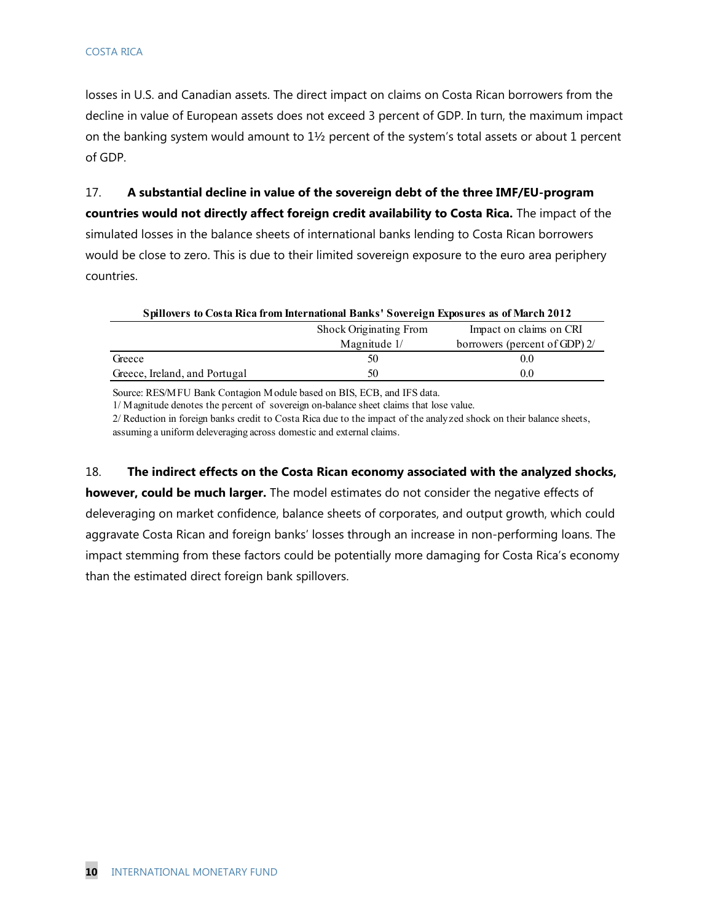losses in U.S. and Canadian assets. The direct impact on claims on Costa Rican borrowers from the decline in value of European assets does not exceed 3 percent of GDP. In turn, the maximum impact on the banking system would amount to 1½ percent of the system's total assets or about 1 percent of GDP.

17. **A substantial decline in value of the sovereign debt of the three IMF/EU-program countries would not directly affect foreign credit availability to Costa Rica.** The impact of the simulated losses in the balance sheets of international banks lending to Costa Rican borrowers would be close to zero. This is due to their limited sovereign exposure to the euro area periphery countries.

| Spillovers to Costa Rica from International Banks' Sovereign Exposures as of March 2012 |                        |                               |  |  |  |  |  |  |
|-----------------------------------------------------------------------------------------|------------------------|-------------------------------|--|--|--|--|--|--|
|                                                                                         | Shock Originating From |                               |  |  |  |  |  |  |
|                                                                                         | Magnitude 1/           | borrowers (percent of GDP) 2/ |  |  |  |  |  |  |
| Greece                                                                                  | 50                     | $0.0^{\circ}$                 |  |  |  |  |  |  |
| Greece, Ireland, and Portugal                                                           | 50                     | $0.0^{\circ}$                 |  |  |  |  |  |  |

Source: RES/MFU Bank Contagion Module based on BIS, ECB, and IFS data.

1/ Magnitude denotes the percent of sovereign on-balance sheet claims that lose value.

2/ Reduction in foreign banks credit to Costa Rica due to the impact of the analyzed shock on their balance sheets, assuming a uniform deleveraging across domestic and external claims.

18. **The indirect effects on the Costa Rican economy associated with the analyzed shocks,** 

**however, could be much larger.** The model estimates do not consider the negative effects of deleveraging on market confidence, balance sheets of corporates, and output growth, which could aggravate Costa Rican and foreign banks' losses through an increase in non-performing loans. The impact stemming from these factors could be potentially more damaging for Costa Rica's economy than the estimated direct foreign bank spillovers.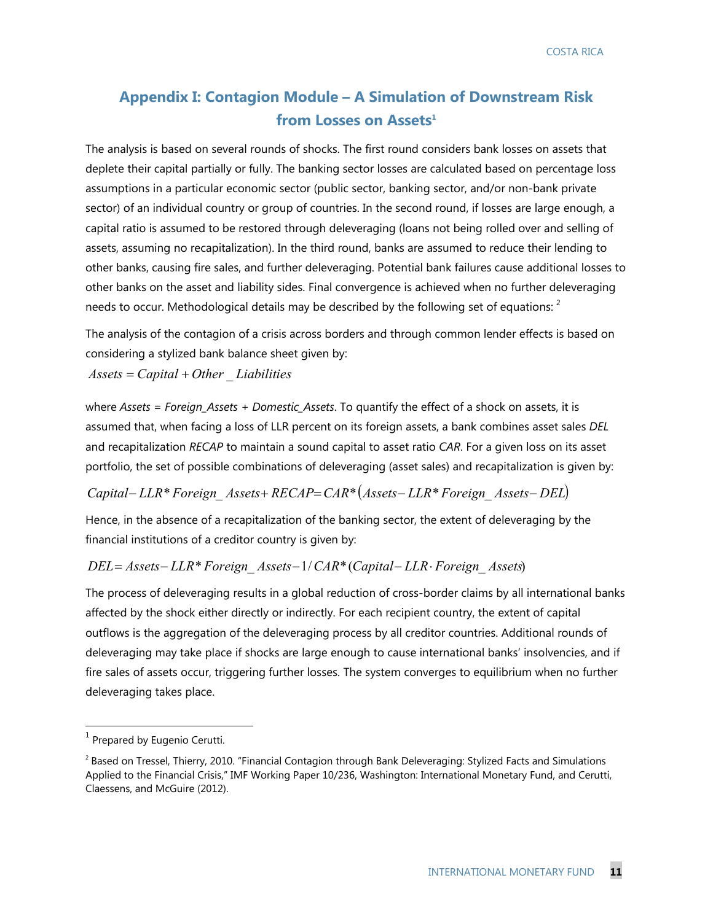## **Appendix I: Contagion Module – A Simulation of Downstream Risk**  from Losses on Assets<sup>1</sup>

The analysis is based on several rounds of shocks. The first round considers bank losses on assets that deplete their capital partially or fully. The banking sector losses are calculated based on percentage loss assumptions in a particular economic sector (public sector, banking sector, and/or non-bank private sector) of an individual country or group of countries. In the second round, if losses are large enough, a capital ratio is assumed to be restored through deleveraging (loans not being rolled over and selling of assets, assuming no recapitalization). In the third round, banks are assumed to reduce their lending to other banks, causing fire sales, and further deleveraging. Potential bank failures cause additional losses to other banks on the asset and liability sides. Final convergence is achieved when no further deleveraging needs to occur. Methodological details may be described by the following set of equations:  $^2$ 

The analysis of the contagion of a crisis across borders and through common lender effects is based on considering a stylized bank balance sheet given by:

*Assets Capital Other* \_ *Liabilities*

where *Assets = Foreign\_Assets + Domestic\_Assets*. To quantify the effect of a shock on assets, it is assumed that, when facing a loss of LLR percent on its foreign assets, a bank combines asset sales *DEL* and recapitalization *RECAP* to maintain a sound capital to asset ratio *CAR*. For a given loss on its asset portfolio, the set of possible combinations of deleveraging (asset sales) and recapitalization is given by:

*Capital LLR*\**Foreign*\_ *Assets RECAPCAR*\**Assets LLR*\**Foreign*\_ *Assets DEL*

Hence, in the absence of a recapitalization of the banking sector, the extent of deleveraging by the financial institutions of a creditor country is given by:

#### *DEL Assets LLR*\**Foreign*\_ *Assets*1/*CAR*\*(*Capital LLR Foreign*\_ *Assets*)

The process of deleveraging results in a global reduction of cross-border claims by all international banks affected by the shock either directly or indirectly. For each recipient country, the extent of capital outflows is the aggregation of the deleveraging process by all creditor countries. Additional rounds of deleveraging may take place if shocks are large enough to cause international banks' insolvencies, and if fire sales of assets occur, triggering further losses. The system converges to equilibrium when no further deleveraging takes place.

 $<sup>1</sup>$  Prepared by Eugenio Cerutti.</sup>

 $2$  Based on Tressel, Thierry, 2010. "Financial Contagion through Bank Deleveraging: Stylized Facts and Simulations Applied to the Financial Crisis," IMF Working Paper 10/236, Washington: International Monetary Fund, and Cerutti, Claessens, and McGuire (2012).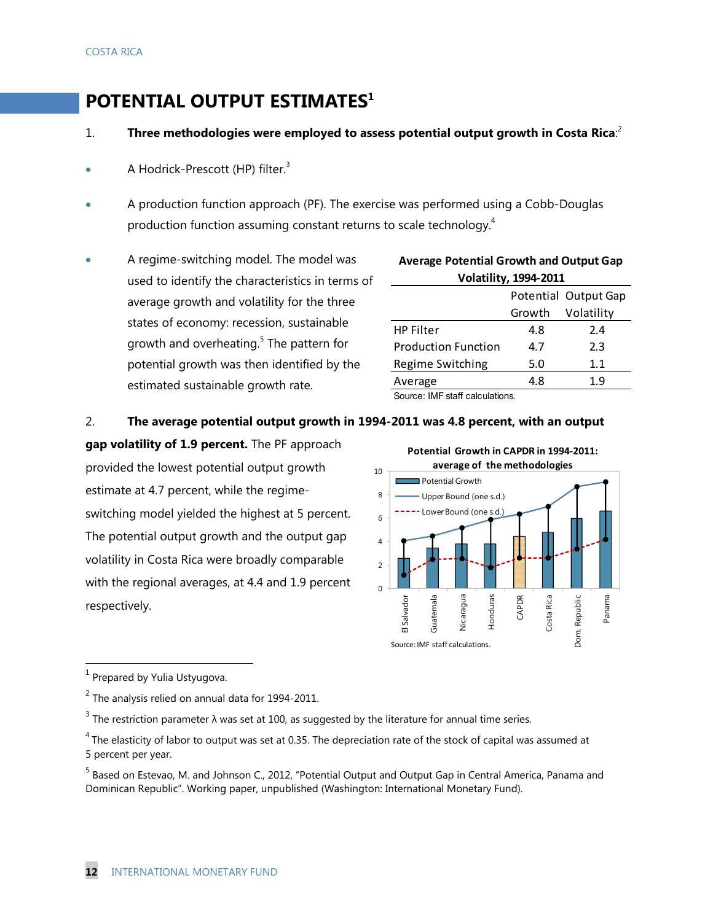# **POTENTIAL OUTPUT ESTIMATES<sup>1</sup>**

- 1. **Three methodologies were employed to assess potential output growth in Costa Rica**: 2
- A Hodrick-Prescott (HP) filter. $3$
- A production function approach (PF). The exercise was performed using a Cobb-Douglas production function assuming constant returns to scale technology.<sup>4</sup>
- A regime-switching model. The model was used to identify the characteristics in terms of average growth and volatility for the three states of economy: recession, sustainable growth and overheating.<sup>5</sup> The pattern for potential growth was then identified by the estimated sustainable growth rate.

| AVCTAGE T OLCTILIAI OTOWITI AND OULDUL OAD |        |            |  |  |  |  |  |  |
|--------------------------------------------|--------|------------|--|--|--|--|--|--|
| <b>Volatility, 1994-2011</b>               |        |            |  |  |  |  |  |  |
| Potential Output Gap                       |        |            |  |  |  |  |  |  |
|                                            | Growth | Volatility |  |  |  |  |  |  |
| <b>HP Filter</b>                           | 4.8    | 2.4        |  |  |  |  |  |  |
| <b>Production Function</b>                 | 4.7    | 2.3        |  |  |  |  |  |  |
| Regime Switching                           | 5.0    | 1.1        |  |  |  |  |  |  |
| Average                                    | 4.8    | 1.9        |  |  |  |  |  |  |
| Source: IME etaff calculations             |        |            |  |  |  |  |  |  |

**Average Potential Growth and Output Gap** 

Source: IMF staff calculations.

#### 2. **The average potential output growth in 1994-2011 was 4.8 percent, with an output**

**gap volatility of 1.9 percent.** The PF approach provided the lowest potential output growth estimate at 4.7 percent, while the regimeswitching model yielded the highest at 5 percent. The potential output growth and the output gap volatility in Costa Rica were broadly comparable with the regional averages, at 4.4 and 1.9 percent respectively.



 $<sup>1</sup>$  Prepared by Yulia Ustyugova.</sup>

 $2$  The analysis relied on annual data for 1994-2011.

<sup>&</sup>lt;sup>3</sup> The restriction parameter λ was set at 100, as suggested by the literature for annual time series.

 $4$  The elasticity of labor to output was set at 0.35. The depreciation rate of the stock of capital was assumed at 5 percent per year.

<sup>&</sup>lt;sup>5</sup> Based on Estevao, M. and Johnson C., 2012, "Potential Output and Output Gap in Central America, Panama and Dominican Republic". Working paper, unpublished (Washington: International Monetary Fund).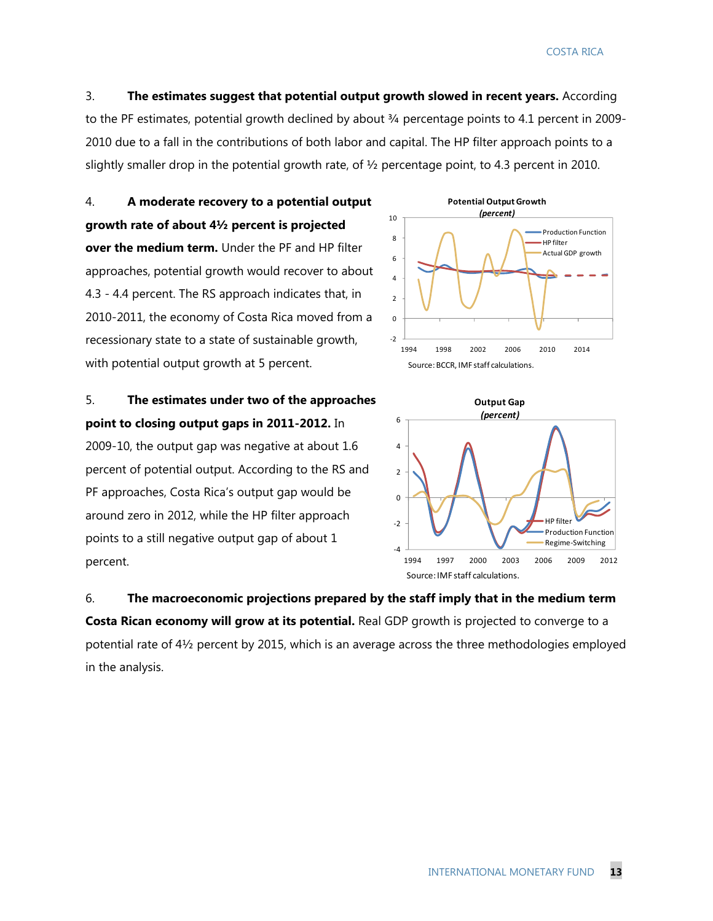3. **The estimates suggest that potential output growth slowed in recent years.** According to the PF estimates, potential growth declined by about 3/4 percentage points to 4.1 percent in 2009-2010 due to a fall in the contributions of both labor and capital. The HP filter approach points to a slightly smaller drop in the potential growth rate, of  $\frac{1}{2}$  percentage point, to 4.3 percent in 2010.

4. **A moderate recovery to a potential output growth rate of about 4½ percent is projected over the medium term.** Under the PF and HP filter approaches, potential growth would recover to about 4.3 - 4.4 percent. The RS approach indicates that, in 2010-2011, the economy of Costa Rica moved from a recessionary state to a state of sustainable growth, with potential output growth at 5 percent.

5. **The estimates under two of the approaches point to closing output gaps in 2011-2012.** In 2009-10, the output gap was negative at about 1.6 percent of potential output. According to the RS and PF approaches, Costa Rica's output gap would be around zero in 2012, while the HP filter approach points to a still negative output gap of about 1 percent.





6. **The macroeconomic projections prepared by the staff imply that in the medium term Costa Rican economy will grow at its potential.** Real GDP growth is projected to converge to a potential rate of 4½ percent by 2015, which is an average across the three methodologies employed in the analysis.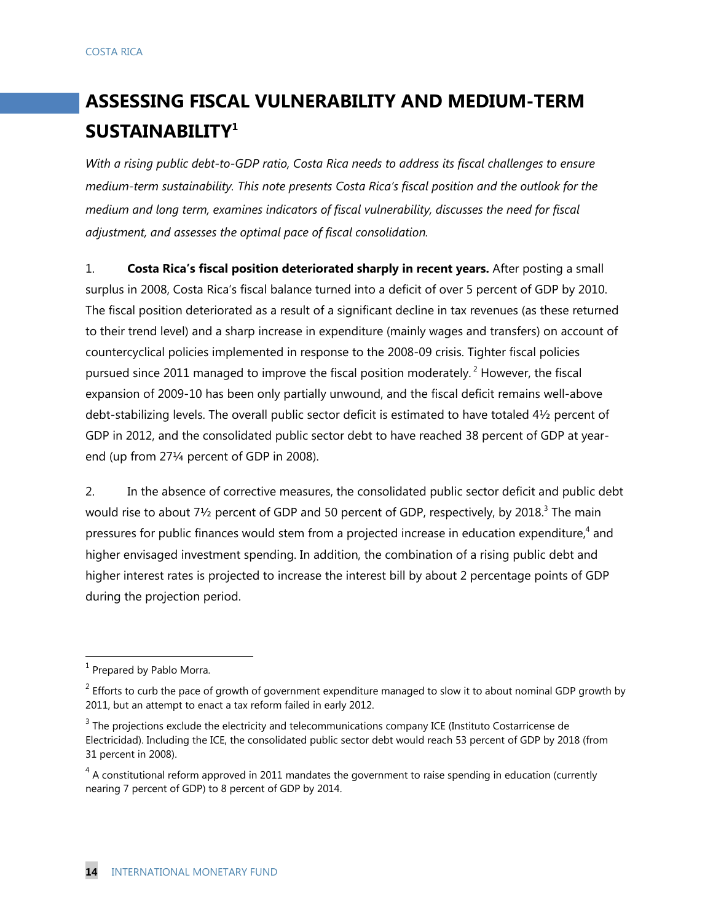# **ASSESSING FISCAL VULNERABILITY AND MEDIUM-TERM SUSTAINABILITY1**

*With a rising public debt-to-GDP ratio, Costa Rica needs to address its fiscal challenges to ensure medium-term sustainability. This note presents Costa Rica's fiscal position and the outlook for the medium and long term, examines indicators of fiscal vulnerability, discusses the need for fiscal adjustment, and assesses the optimal pace of fiscal consolidation.* 

1. **Costa Rica's fiscal position deteriorated sharply in recent years.** After posting a small surplus in 2008, Costa Rica's fiscal balance turned into a deficit of over 5 percent of GDP by 2010. The fiscal position deteriorated as a result of a significant decline in tax revenues (as these returned to their trend level) and a sharp increase in expenditure (mainly wages and transfers) on account of countercyclical policies implemented in response to the 2008-09 crisis. Tighter fiscal policies pursued since 2011 managed to improve the fiscal position moderately.<sup>2</sup> However, the fiscal expansion of 2009-10 has been only partially unwound, and the fiscal deficit remains well-above debt-stabilizing levels. The overall public sector deficit is estimated to have totaled 4½ percent of GDP in 2012, and the consolidated public sector debt to have reached 38 percent of GDP at yearend (up from 27¼ percent of GDP in 2008).

2. In the absence of corrective measures, the consolidated public sector deficit and public debt would rise to about 7½ percent of GDP and 50 percent of GDP, respectively, by 2018.<sup>3</sup> The main pressures for public finances would stem from a projected increase in education expenditure,<sup>4</sup> and higher envisaged investment spending. In addition, the combination of a rising public debt and higher interest rates is projected to increase the interest bill by about 2 percentage points of GDP during the projection period.

 $<sup>1</sup>$  Prepared by Pablo Morra.</sup>

 $2$  Efforts to curb the pace of growth of government expenditure managed to slow it to about nominal GDP growth by 2011, but an attempt to enact a tax reform failed in early 2012.

 $3$  The projections exclude the electricity and telecommunications company ICE (Instituto Costarricense de Electricidad). Including the ICE, the consolidated public sector debt would reach 53 percent of GDP by 2018 (from 31 percent in 2008).

 $4$  A constitutional reform approved in 2011 mandates the government to raise spending in education (currently nearing 7 percent of GDP) to 8 percent of GDP by 2014.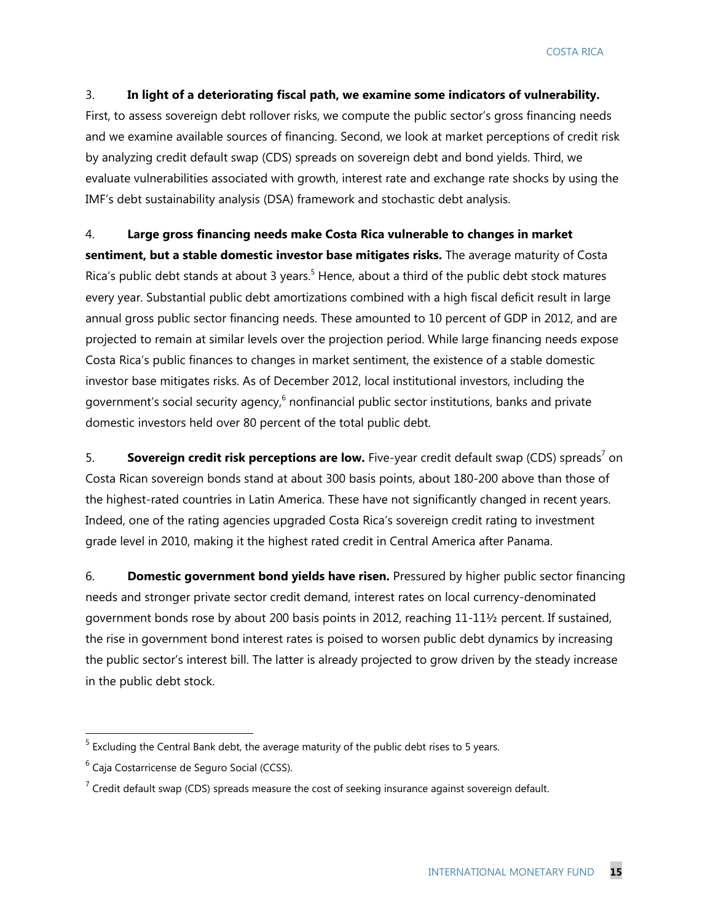#### 3. **In light of a deteriorating fiscal path, we examine some indicators of vulnerability.**

First, to assess sovereign debt rollover risks, we compute the public sector's gross financing needs and we examine available sources of financing. Second, we look at market perceptions of credit risk by analyzing credit default swap (CDS) spreads on sovereign debt and bond yields. Third, we evaluate vulnerabilities associated with growth, interest rate and exchange rate shocks by using the IMF's debt sustainability analysis (DSA) framework and stochastic debt analysis.

#### 4. **Large gross financing needs make Costa Rica vulnerable to changes in market**

**sentiment, but a stable domestic investor base mitigates risks.** The average maturity of Costa Rica's public debt stands at about 3 years.<sup>5</sup> Hence, about a third of the public debt stock matures every year. Substantial public debt amortizations combined with a high fiscal deficit result in large annual gross public sector financing needs. These amounted to 10 percent of GDP in 2012, and are projected to remain at similar levels over the projection period. While large financing needs expose Costa Rica's public finances to changes in market sentiment, the existence of a stable domestic investor base mitigates risks. As of December 2012, local institutional investors, including the government's social security agency,<sup>6</sup> nonfinancial public sector institutions, banks and private domestic investors held over 80 percent of the total public debt.

5. **Sovereign credit risk perceptions are low.** Five-year credit default swap (CDS) spreads<sup>7</sup> on Costa Rican sovereign bonds stand at about 300 basis points, about 180-200 above than those of the highest-rated countries in Latin America. These have not significantly changed in recent years. Indeed, one of the rating agencies upgraded Costa Rica's sovereign credit rating to investment grade level in 2010, making it the highest rated credit in Central America after Panama.

6. **Domestic government bond yields have risen.** Pressured by higher public sector financing needs and stronger private sector credit demand, interest rates on local currency-denominated government bonds rose by about 200 basis points in 2012, reaching 11-11½ percent. If sustained, the rise in government bond interest rates is poised to worsen public debt dynamics by increasing the public sector's interest bill. The latter is already projected to grow driven by the steady increase in the public debt stock.

<sup>&</sup>lt;u>Figure 20 and the Central Bank debt</u>, the average maturity of the public debt rises to 5 years.<br><sup>5</sup> Excluding the Central Bank debt, the average maturity of the public debt rises to 5 years.

 $^6$  Caja Costarricense de Seguro Social (CCSS).

 $<sup>7</sup>$  Credit default swap (CDS) spreads measure the cost of seeking insurance against sovereign default.</sup>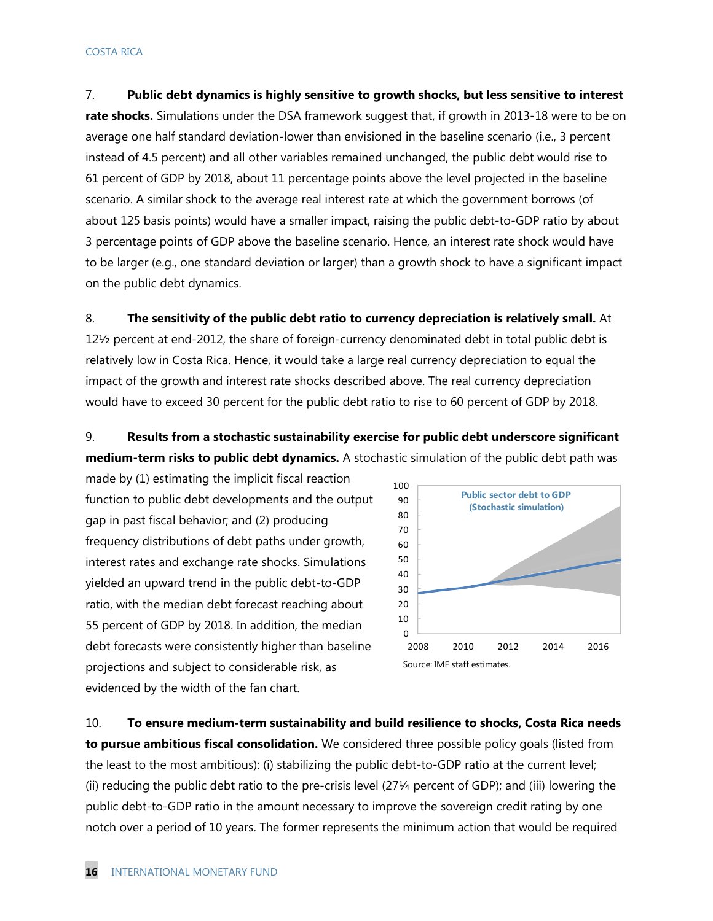7. **Public debt dynamics is highly sensitive to growth shocks, but less sensitive to interest rate shocks.** Simulations under the DSA framework suggest that, if growth in 2013-18 were to be on average one half standard deviation-lower than envisioned in the baseline scenario (i.e., 3 percent instead of 4.5 percent) and all other variables remained unchanged, the public debt would rise to 61 percent of GDP by 2018, about 11 percentage points above the level projected in the baseline scenario. A similar shock to the average real interest rate at which the government borrows (of about 125 basis points) would have a smaller impact, raising the public debt-to-GDP ratio by about 3 percentage points of GDP above the baseline scenario. Hence, an interest rate shock would have to be larger (e.g., one standard deviation or larger) than a growth shock to have a significant impact on the public debt dynamics.

8. **The sensitivity of the public debt ratio to currency depreciation is relatively small.** At 12½ percent at end-2012, the share of foreign-currency denominated debt in total public debt is relatively low in Costa Rica. Hence, it would take a large real currency depreciation to equal the impact of the growth and interest rate shocks described above. The real currency depreciation would have to exceed 30 percent for the public debt ratio to rise to 60 percent of GDP by 2018.

9. **Results from a stochastic sustainability exercise for public debt underscore significant medium-term risks to public debt dynamics.** A stochastic simulation of the public debt path was

made by (1) estimating the implicit fiscal reaction function to public debt developments and the output gap in past fiscal behavior; and (2) producing frequency distributions of debt paths under growth, interest rates and exchange rate shocks. Simulations yielded an upward trend in the public debt-to-GDP ratio, with the median debt forecast reaching about 55 percent of GDP by 2018. In addition, the median debt forecasts were consistently higher than baseline projections and subject to considerable risk, as evidenced by the width of the fan chart.



10. **To ensure medium-term sustainability and build resilience to shocks, Costa Rica needs to pursue ambitious fiscal consolidation.** We considered three possible policy goals (listed from the least to the most ambitious): (i) stabilizing the public debt-to-GDP ratio at the current level; (ii) reducing the public debt ratio to the pre-crisis level (27¼ percent of GDP); and (iii) lowering the public debt-to-GDP ratio in the amount necessary to improve the sovereign credit rating by one notch over a period of 10 years. The former represents the minimum action that would be required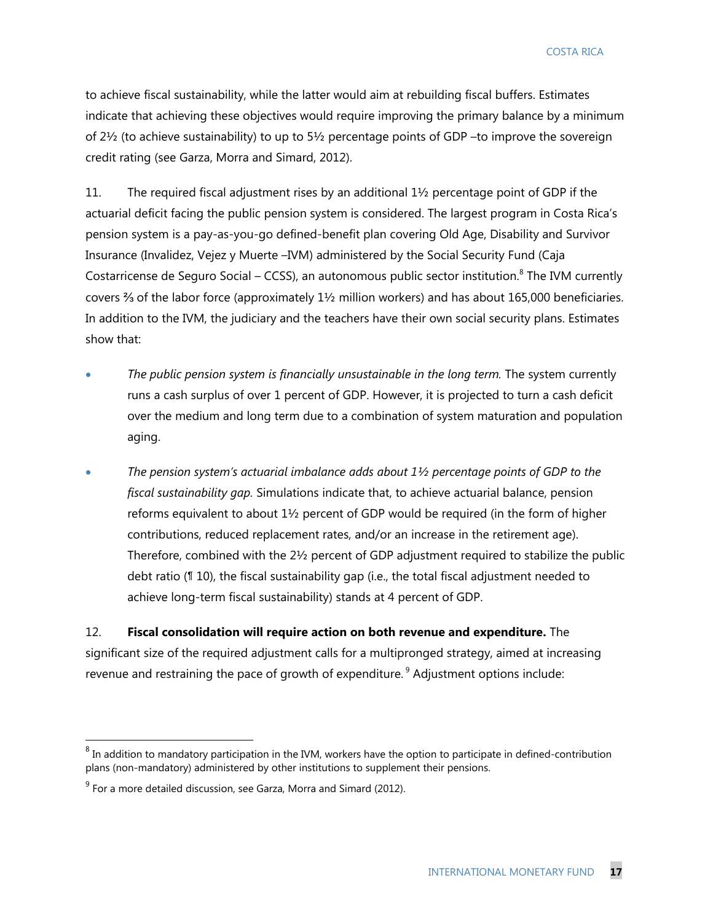to achieve fiscal sustainability, while the latter would aim at rebuilding fiscal buffers. Estimates indicate that achieving these objectives would require improving the primary balance by a minimum of 2½ (to achieve sustainability) to up to 5½ percentage points of GDP –to improve the sovereign credit rating (see Garza, Morra and Simard, 2012).

11. The required fiscal adjustment rises by an additional 1½ percentage point of GDP if the actuarial deficit facing the public pension system is considered. The largest program in Costa Rica's pension system is a pay-as-you-go defined-benefit plan covering Old Age, Disability and Survivor Insurance (Invalidez, Vejez y Muerte –IVM) administered by the Social Security Fund (Caja Costarricense de Seguro Social – CCSS), an autonomous public sector institution. $8$  The IVM currently covers ⅔ of the labor force (approximately 1½ million workers) and has about 165,000 beneficiaries. In addition to the IVM, the judiciary and the teachers have their own social security plans. Estimates show that:

- *The public pension system is financially unsustainable in the long term.* The system currently runs a cash surplus of over 1 percent of GDP. However, it is projected to turn a cash deficit over the medium and long term due to a combination of system maturation and population aging.
- *The pension system's actuarial imbalance adds about 1½ percentage points of GDP to the fiscal sustainability gap.* Simulations indicate that, to achieve actuarial balance, pension reforms equivalent to about  $1\frac{1}{2}$  percent of GDP would be required (in the form of higher contributions, reduced replacement rates, and/or an increase in the retirement age). Therefore, combined with the 2½ percent of GDP adjustment required to stabilize the public debt ratio (¶ 10), the fiscal sustainability gap (i.e., the total fiscal adjustment needed to achieve long-term fiscal sustainability) stands at 4 percent of GDP.

12. **Fiscal consolidation will require action on both revenue and expenditure.** The significant size of the required adjustment calls for a multipronged strategy, aimed at increasing revenue and restraining the pace of growth of expenditure.<sup>9</sup> Adjustment options include:

 $^8$  In addition to mandatory participation in the IVM, workers have the option to participate in defined-contribution plans (non-mandatory) administered by other institutions to supplement their pensions.

 $9^9$  For a more detailed discussion, see Garza, Morra and Simard (2012).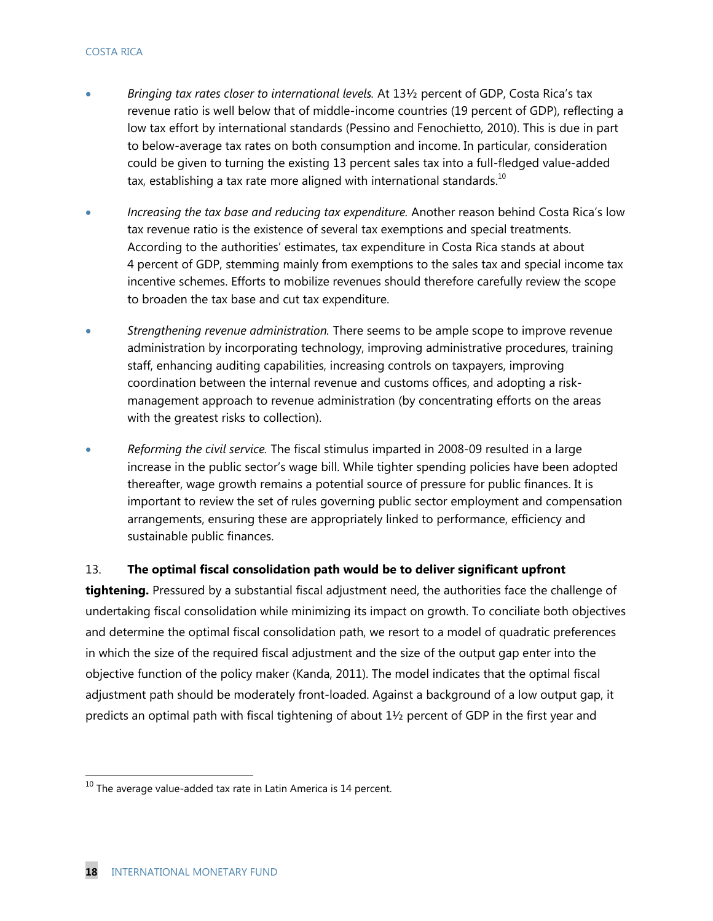- *Bringing tax rates closer to international levels.* At 13½ percent of GDP, Costa Rica's tax revenue ratio is well below that of middle-income countries (19 percent of GDP), reflecting a low tax effort by international standards (Pessino and Fenochietto, 2010). This is due in part to below-average tax rates on both consumption and income. In particular, consideration could be given to turning the existing 13 percent sales tax into a full-fledged value-added tax, establishing a tax rate more aligned with international standards.<sup>10</sup>
- *Increasing the tax base and reducing tax expenditure.* Another reason behind Costa Rica's low tax revenue ratio is the existence of several tax exemptions and special treatments. According to the authorities' estimates, tax expenditure in Costa Rica stands at about 4 percent of GDP, stemming mainly from exemptions to the sales tax and special income tax incentive schemes. Efforts to mobilize revenues should therefore carefully review the scope to broaden the tax base and cut tax expenditure.
- *Strengthening revenue administration.* There seems to be ample scope to improve revenue administration by incorporating technology, improving administrative procedures, training staff, enhancing auditing capabilities, increasing controls on taxpayers, improving coordination between the internal revenue and customs offices, and adopting a riskmanagement approach to revenue administration (by concentrating efforts on the areas with the greatest risks to collection).
- *Reforming the civil service.* The fiscal stimulus imparted in 2008-09 resulted in a large increase in the public sector's wage bill. While tighter spending policies have been adopted thereafter, wage growth remains a potential source of pressure for public finances. It is important to review the set of rules governing public sector employment and compensation arrangements, ensuring these are appropriately linked to performance, efficiency and sustainable public finances.

#### 13. **The optimal fiscal consolidation path would be to deliver significant upfront**

**tightening.** Pressured by a substantial fiscal adjustment need, the authorities face the challenge of undertaking fiscal consolidation while minimizing its impact on growth. To conciliate both objectives and determine the optimal fiscal consolidation path, we resort to a model of quadratic preferences in which the size of the required fiscal adjustment and the size of the output gap enter into the objective function of the policy maker (Kanda, 2011). The model indicates that the optimal fiscal adjustment path should be moderately front-loaded. Against a background of a low output gap, it predicts an optimal path with fiscal tightening of about 1½ percent of GDP in the first year and

 $^{10}$  The average value-added tax rate in Latin America is 14 percent.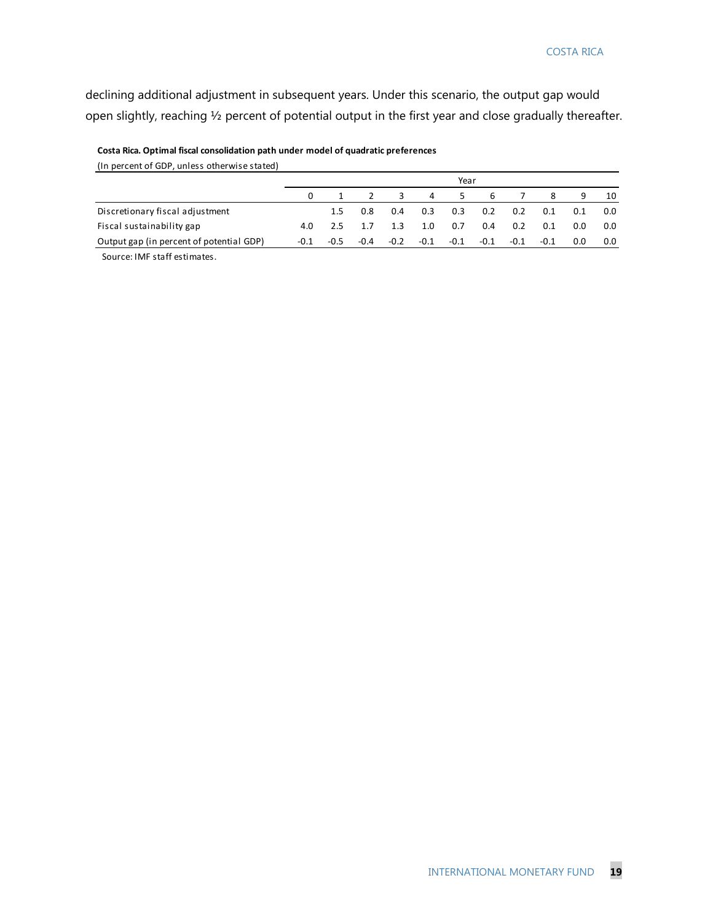declining additional adjustment in subsequent years. Under this scenario, the output gap would open slightly, reaching ½ percent of potential output in the first year and close gradually thereafter.

| (In percent of GDP, unless otherwise stated) |          |        |        |        |        |        |        |        |        |     |     |
|----------------------------------------------|----------|--------|--------|--------|--------|--------|--------|--------|--------|-----|-----|
|                                              |          |        |        |        |        | Year   |        |        |        |     |     |
|                                              | $\Omega$ |        |        | 3      | 4      | 5.     | -6     |        | 8      | 9   | 10  |
| Discretionary fiscal adjustment              |          | 1.5    | 0.8    | 0.4    | 0.3    | 0.3    | 0.2    | 0.2    | 0.1    | 0.1 | 0.0 |
| Fiscal sustainability gap                    | 4.0      | 2.5    |        | 1.3    | 1.0    | 0.7    | 0.4    | 0.2    | 0.1    | 0.O | 0.0 |
| Output gap (in percent of potential GDP)     | -0.1     | $-0.5$ | $-0.4$ | $-0.2$ | $-0.1$ | $-0.1$ | $-0.1$ | $-0.1$ | $-0.1$ | 0.0 | 0.0 |
| Source: IMF staff estimates.                 |          |        |        |        |        |        |        |        |        |     |     |

#### **Costa Rica. Optimal fiscal consolidation path under model of quadratic preferences**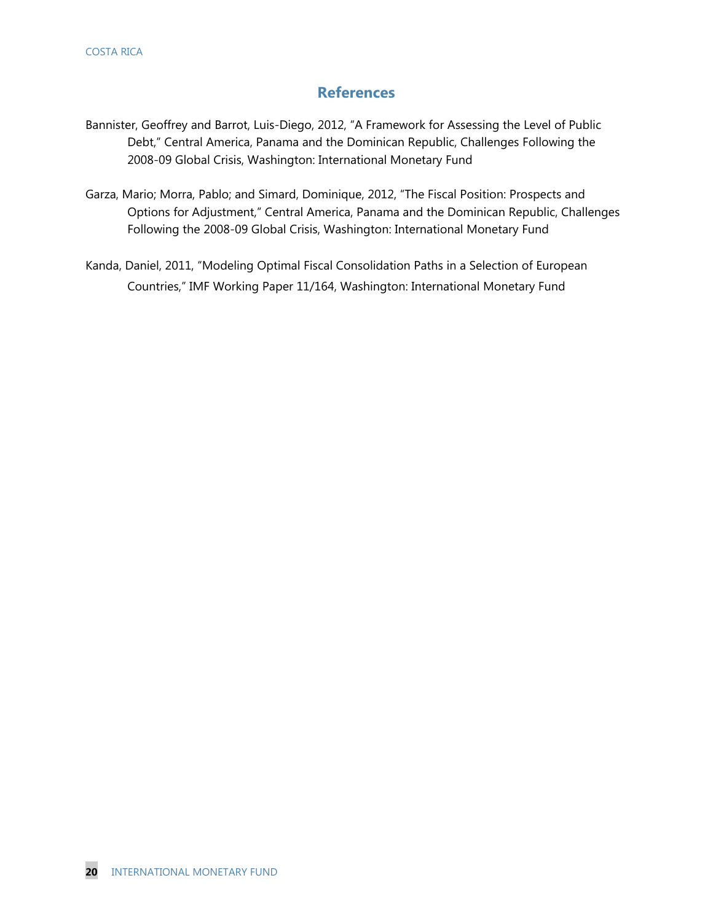#### **References**

- Bannister, Geoffrey and Barrot, Luis-Diego, 2012, "A Framework for Assessing the Level of Public Debt," Central America, Panama and the Dominican Republic, Challenges Following the 2008-09 Global Crisis, Washington: International Monetary Fund
- Garza, Mario; Morra, Pablo; and Simard, Dominique, 2012, "The Fiscal Position: Prospects and Options for Adjustment," Central America, Panama and the Dominican Republic, Challenges Following the 2008-09 Global Crisis, Washington: International Monetary Fund
- Kanda, Daniel, 2011, "Modeling Optimal Fiscal Consolidation Paths in a Selection of European Countries," IMF Working Paper 11/164, Washington: International Monetary Fund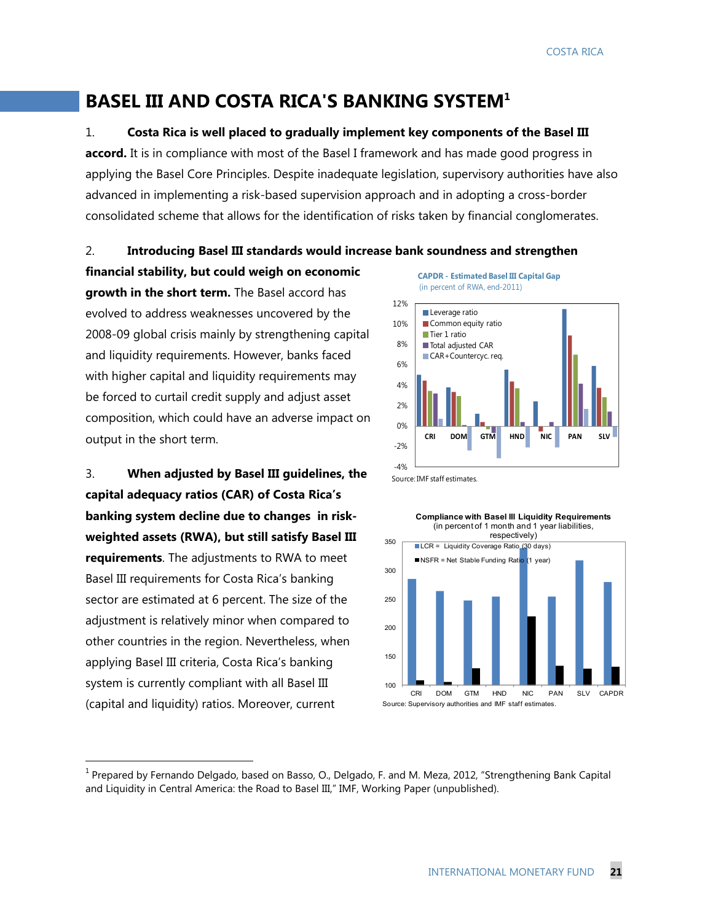# **BASEL III AND COSTA RICA'S BANKING SYSTEM1**

1. **Costa Rica is well placed to gradually implement key components of the Basel III** 

**accord.** It is in compliance with most of the Basel I framework and has made good progress in applying the Basel Core Principles. Despite inadequate legislation, supervisory authorities have also advanced in implementing a risk-based supervision approach and in adopting a cross-border consolidated scheme that allows for the identification of risks taken by financial conglomerates.

#### 2. **Introducing Basel III standards would increase bank soundness and strengthen**

**financial stability, but could weigh on economic growth in the short term.** The Basel accord has evolved to address weaknesses uncovered by the 2008-09 global crisis mainly by strengthening capital and liquidity requirements. However, banks faced with higher capital and liquidity requirements may be forced to curtail credit supply and adjust asset composition, which could have an adverse impact on output in the short term.

3. **When adjusted by Basel III guidelines, the capital adequacy ratios (CAR) of Costa Rica's banking system decline due to changes in riskweighted assets (RWA), but still satisfy Basel III requirements**. The adjustments to RWA to meet Basel III requirements for Costa Rica's banking sector are estimated at 6 percent. The size of the adjustment is relatively minor when compared to other countries in the region. Nevertheless, when applying Basel III criteria, Costa Rica's banking system is currently compliant with all Basel III (capital and liquidity) ratios. Moreover, current





Source: IMF staff estimates.



 $1$  Prepared by Fernando Delgado, based on Basso, O., Delgado, F. and M. Meza, 2012, "Strengthening Bank Capital and Liquidity in Central America: the Road to Basel III," IMF, Working Paper (unpublished).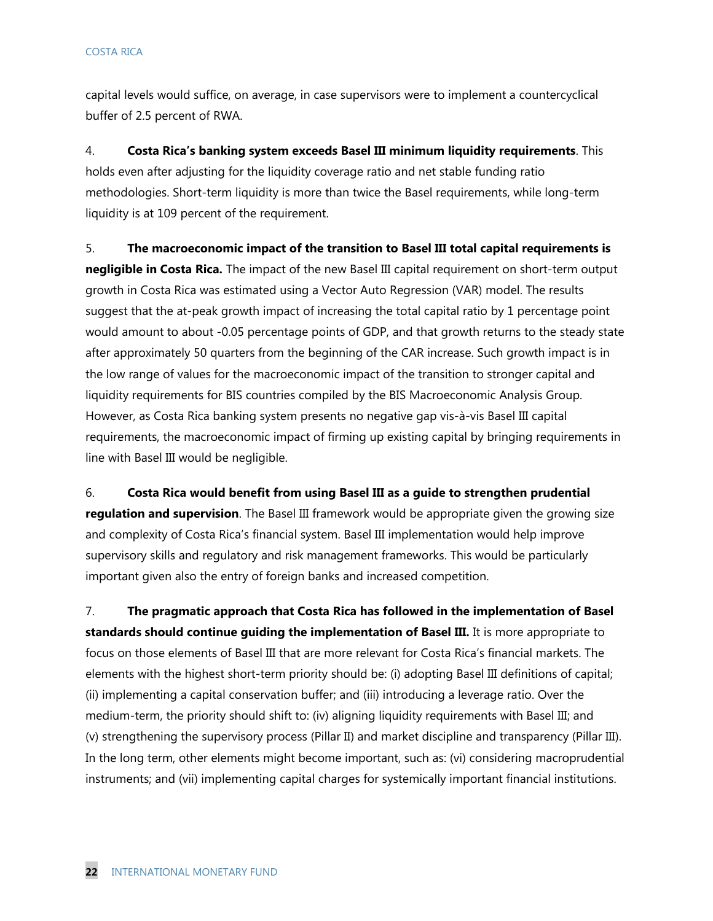capital levels would suffice, on average, in case supervisors were to implement a countercyclical buffer of 2.5 percent of RWA.

4. **Costa Rica's banking system exceeds Basel III minimum liquidity requirements**. This holds even after adjusting for the liquidity coverage ratio and net stable funding ratio methodologies. Short-term liquidity is more than twice the Basel requirements, while long-term liquidity is at 109 percent of the requirement.

5. **The macroeconomic impact of the transition to Basel III total capital requirements is negligible in Costa Rica.** The impact of the new Basel III capital requirement on short-term output growth in Costa Rica was estimated using a Vector Auto Regression (VAR) model. The results suggest that the at-peak growth impact of increasing the total capital ratio by 1 percentage point would amount to about -0.05 percentage points of GDP, and that growth returns to the steady state after approximately 50 quarters from the beginning of the CAR increase. Such growth impact is in the low range of values for the macroeconomic impact of the transition to stronger capital and liquidity requirements for BIS countries compiled by the BIS Macroeconomic Analysis Group. However, as Costa Rica banking system presents no negative gap vis-à-vis Basel III capital requirements, the macroeconomic impact of firming up existing capital by bringing requirements in line with Basel III would be negligible.

6. **Costa Rica would benefit from using Basel III as a guide to strengthen prudential regulation and supervision**. The Basel III framework would be appropriate given the growing size and complexity of Costa Rica's financial system. Basel III implementation would help improve supervisory skills and regulatory and risk management frameworks. This would be particularly important given also the entry of foreign banks and increased competition.

7. **The pragmatic approach that Costa Rica has followed in the implementation of Basel standards should continue guiding the implementation of Basel III.** It is more appropriate to focus on those elements of Basel III that are more relevant for Costa Rica's financial markets. The elements with the highest short-term priority should be: (i) adopting Basel III definitions of capital; (ii) implementing a capital conservation buffer; and (iii) introducing a leverage ratio. Over the medium-term, the priority should shift to: (iv) aligning liquidity requirements with Basel III; and (v) strengthening the supervisory process (Pillar II) and market discipline and transparency (Pillar III). In the long term, other elements might become important, such as: (vi) considering macroprudential instruments; and (vii) implementing capital charges for systemically important financial institutions.